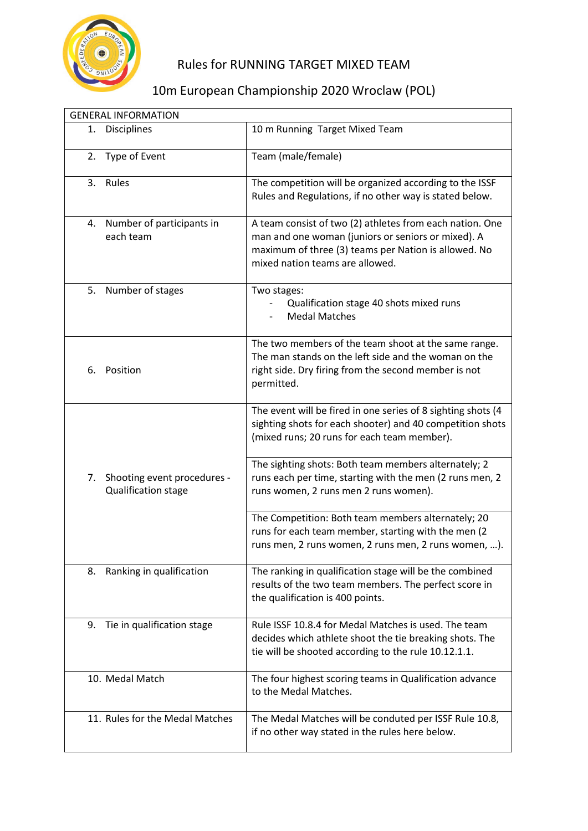

## Rules for RUNNING TARGET MIXED TEAM

## 10m European Championship 2020 Wroclaw (POL)

| <b>GENERAL INFORMATION</b> |                                                    |                                                                                                                                                                                                           |  |
|----------------------------|----------------------------------------------------|-----------------------------------------------------------------------------------------------------------------------------------------------------------------------------------------------------------|--|
| 1.                         | <b>Disciplines</b>                                 | 10 m Running Target Mixed Team                                                                                                                                                                            |  |
| 2.                         | Type of Event                                      | Team (male/female)                                                                                                                                                                                        |  |
| 3.                         | Rules                                              | The competition will be organized according to the ISSF<br>Rules and Regulations, if no other way is stated below.                                                                                        |  |
| 4.                         | Number of participants in<br>each team             | A team consist of two (2) athletes from each nation. One<br>man and one woman (juniors or seniors or mixed). A<br>maximum of three (3) teams per Nation is allowed. No<br>mixed nation teams are allowed. |  |
| 5.                         | Number of stages                                   | Two stages:<br>Qualification stage 40 shots mixed runs<br><b>Medal Matches</b>                                                                                                                            |  |
| 6.                         | Position                                           | The two members of the team shoot at the same range.<br>The man stands on the left side and the woman on the<br>right side. Dry firing from the second member is not<br>permitted.                        |  |
|                            |                                                    | The event will be fired in one series of 8 sighting shots (4<br>sighting shots for each shooter) and 40 competition shots<br>(mixed runs; 20 runs for each team member).                                  |  |
| 7.                         | Shooting event procedures -<br>Qualification stage | The sighting shots: Both team members alternately; 2<br>runs each per time, starting with the men (2 runs men, 2<br>runs women, 2 runs men 2 runs women).                                                 |  |
|                            |                                                    | The Competition: Both team members alternately; 20<br>runs for each team member, starting with the men (2<br>runs men, 2 runs women, 2 runs men, 2 runs women, ).                                         |  |
| 8.                         | Ranking in qualification                           | The ranking in qualification stage will be the combined<br>results of the two team members. The perfect score in<br>the qualification is 400 points.                                                      |  |
| 9.                         | Tie in qualification stage                         | Rule ISSF 10.8.4 for Medal Matches is used. The team<br>decides which athlete shoot the tie breaking shots. The<br>tie will be shooted according to the rule 10.12.1.1.                                   |  |
|                            | 10. Medal Match                                    | The four highest scoring teams in Qualification advance<br>to the Medal Matches.                                                                                                                          |  |
|                            | 11. Rules for the Medal Matches                    | The Medal Matches will be conduted per ISSF Rule 10.8,<br>if no other way stated in the rules here below.                                                                                                 |  |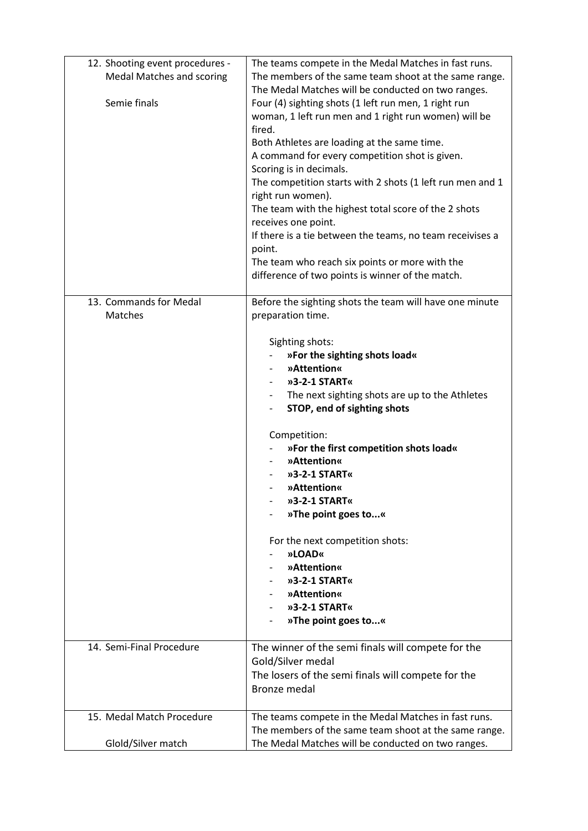| 12. Shooting event procedures -<br>Medal Matches and scoring<br>Semie finals | The teams compete in the Medal Matches in fast runs.<br>The members of the same team shoot at the same range.<br>The Medal Matches will be conducted on two ranges.<br>Four (4) sighting shots (1 left run men, 1 right run<br>woman, 1 left run men and 1 right run women) will be<br>fired.<br>Both Athletes are loading at the same time.<br>A command for every competition shot is given.<br>Scoring is in decimals.<br>The competition starts with 2 shots (1 left run men and 1<br>right run women).<br>The team with the highest total score of the 2 shots<br>receives one point.<br>If there is a tie between the teams, no team receivises a<br>point.<br>The team who reach six points or more with the<br>difference of two points is winner of the match. |
|------------------------------------------------------------------------------|-------------------------------------------------------------------------------------------------------------------------------------------------------------------------------------------------------------------------------------------------------------------------------------------------------------------------------------------------------------------------------------------------------------------------------------------------------------------------------------------------------------------------------------------------------------------------------------------------------------------------------------------------------------------------------------------------------------------------------------------------------------------------|
| 13. Commands for Medal                                                       | Before the sighting shots the team will have one minute                                                                                                                                                                                                                                                                                                                                                                                                                                                                                                                                                                                                                                                                                                                 |
| Matches                                                                      | preparation time.<br>Sighting shots:<br>»For the sighting shots load«<br>»Attention«<br>»3-2-1 START«<br>The next sighting shots are up to the Athletes<br>STOP, end of sighting shots<br>Competition:<br>»For the first competition shots load«<br>»Attention«<br>»3-2-1 START«<br>»Attention«<br>»3-2-1 START«<br>»The point goes to«<br>For the next competition shots:<br>»LOAD«<br>»Attention«<br>»3-2-1 START«<br>»Attention«<br>»3-2-1 START«<br>»The point goes to«                                                                                                                                                                                                                                                                                             |
| 14. Semi-Final Procedure                                                     | The winner of the semi finals will compete for the<br>Gold/Silver medal<br>The losers of the semi finals will compete for the<br><b>Bronze medal</b>                                                                                                                                                                                                                                                                                                                                                                                                                                                                                                                                                                                                                    |
| 15. Medal Match Procedure                                                    | The teams compete in the Medal Matches in fast runs.<br>The members of the same team shoot at the same range.                                                                                                                                                                                                                                                                                                                                                                                                                                                                                                                                                                                                                                                           |
| Glold/Silver match                                                           | The Medal Matches will be conducted on two ranges.                                                                                                                                                                                                                                                                                                                                                                                                                                                                                                                                                                                                                                                                                                                      |